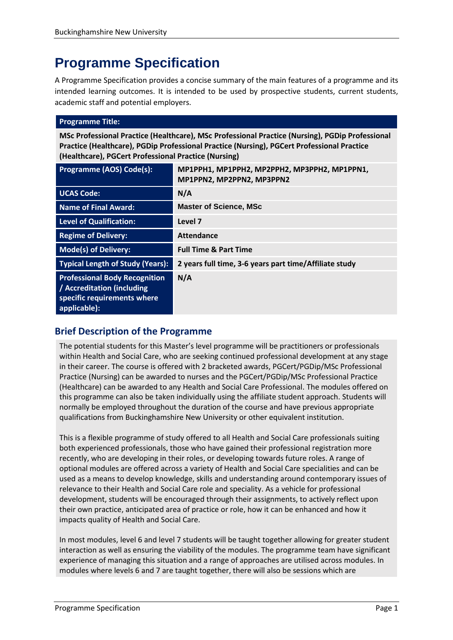# **Programme Specification**

A Programme Specification provides a concise summary of the main features of a programme and its intended learning outcomes. It is intended to be used by prospective students, current students, academic staff and potential employers.

# **Programme Title: MSc Professional Practice (Healthcare), MSc Professional Practice (Nursing), PGDip Professional Practice (Healthcare), PGDip Professional Practice (Nursing), PGCert Professional Practice (Healthcare), PGCert Professional Practice (Nursing) Programme (AOS) Code(s): MP1PPH1, MP1PPH2, MP2PPH2, MP3PPH2, MP1PPN1, MP1PPN2, MP2PPN2, MP3PPN2 UCAS Code: N/A**

| ULAJ LUUC.                                                                                                        | N/H                                                    |
|-------------------------------------------------------------------------------------------------------------------|--------------------------------------------------------|
| <b>Name of Final Award:</b>                                                                                       | <b>Master of Science, MSc</b>                          |
| <b>Level of Qualification:</b>                                                                                    | Level 7                                                |
| <b>Regime of Delivery:</b>                                                                                        | <b>Attendance</b>                                      |
| <b>Mode(s) of Delivery:</b>                                                                                       | <b>Full Time &amp; Part Time</b>                       |
| <b>Typical Length of Study (Years):</b>                                                                           | 2 years full time, 3-6 years part time/Affiliate study |
| <b>Professional Body Recognition</b><br>/ Accreditation (including<br>specific requirements where<br>applicable): | N/A                                                    |

# **Brief Description of the Programme**

The potential students for this Master's level programme will be practitioners or professionals within Health and Social Care, who are seeking continued professional development at any stage in their career. The course is offered with 2 bracketed awards, PGCert/PGDip/MSc Professional Practice (Nursing) can be awarded to nurses and the PGCert/PGDip/MSc Professional Practice (Healthcare) can be awarded to any Health and Social Care Professional. The modules offered on this programme can also be taken individually using the affiliate student approach. Students will normally be employed throughout the duration of the course and have previous appropriate qualifications from Buckinghamshire New University or other equivalent institution.

This is a flexible programme of study offered to all Health and Social Care professionals suiting both experienced professionals, those who have gained their professional registration more recently, who are developing in their roles, or developing towards future roles. A range of optional modules are offered across a variety of Health and Social Care specialities and can be used as a means to develop knowledge, skills and understanding around contemporary issues of relevance to their Health and Social Care role and speciality. As a vehicle for professional development, students will be encouraged through their assignments, to actively reflect upon their own practice, anticipated area of practice or role, how it can be enhanced and how it impacts quality of Health and Social Care.

In most modules, level 6 and level 7 students will be taught together allowing for greater student interaction as well as ensuring the viability of the modules. The programme team have significant experience of managing this situation and a range of approaches are utilised across modules. In modules where levels 6 and 7 are taught together, there will also be sessions which are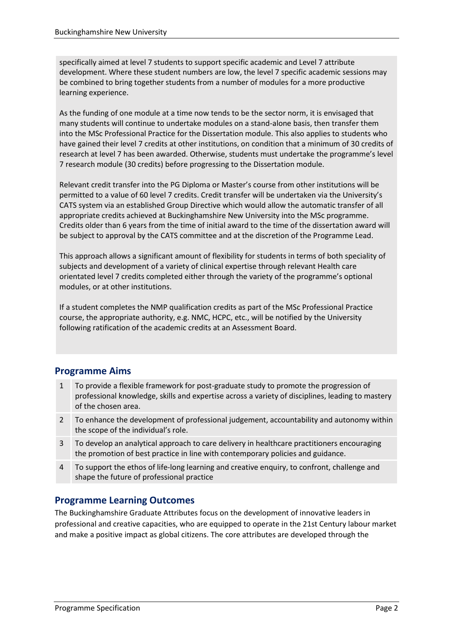specifically aimed at level 7 students to support specific academic and Level 7 attribute development. Where these student numbers are low, the level 7 specific academic sessions may be combined to bring together students from a number of modules for a more productive learning experience.

As the funding of one module at a time now tends to be the sector norm, it is envisaged that many students will continue to undertake modules on a stand-alone basis, then transfer them into the MSc Professional Practice for the Dissertation module. This also applies to students who have gained their level 7 credits at other institutions, on condition that a minimum of 30 credits of research at level 7 has been awarded. Otherwise, students must undertake the programme's level 7 research module (30 credits) before progressing to the Dissertation module.

Relevant credit transfer into the PG Diploma or Master's course from other institutions will be permitted to a value of 60 level 7 credits. Credit transfer will be undertaken via the University's CATS system via an established Group Directive which would allow the automatic transfer of all appropriate credits achieved at Buckinghamshire New University into the MSc programme. Credits older than 6 years from the time of initial award to the time of the dissertation award will be subject to approval by the CATS committee and at the discretion of the Programme Lead.

This approach allows a significant amount of flexibility for students in terms of both speciality of subjects and development of a variety of clinical expertise through relevant Health care orientated level 7 credits completed either through the variety of the programme's optional modules, or at other institutions.

If a student completes the NMP qualification credits as part of the MSc Professional Practice course, the appropriate authority, e.g. NMC, HCPC, etc., will be notified by the University following ratification of the academic credits at an Assessment Board.

# **Programme Aims**

- 1 To provide a flexible framework for post-graduate study to promote the progression of professional knowledge, skills and expertise across a variety of disciplines, leading to mastery of the chosen area.
- 2 To enhance the development of professional judgement, accountability and autonomy within the scope of the individual's role.
- 3 To develop an analytical approach to care delivery in healthcare practitioners encouraging the promotion of best practice in line with contemporary policies and guidance.
- 4 To support the ethos of life-long learning and creative enquiry, to confront, challenge and shape the future of professional practice

# **Programme Learning Outcomes**

The Buckinghamshire Graduate Attributes focus on the development of innovative leaders in professional and creative capacities, who are equipped to operate in the 21st Century labour market and make a positive impact as global citizens. The core attributes are developed through the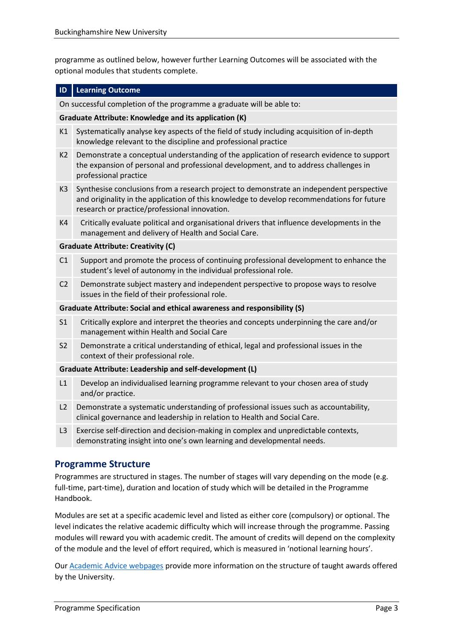programme as outlined below, however further Learning Outcomes will be associated with the optional modules that students complete.

#### **ID Learning Outcome**

On successful completion of the programme a graduate will be able to:

#### **Graduate Attribute: Knowledge and its application (K)**

- K1 Systematically analyse key aspects of the field of study including acquisition of in-depth knowledge relevant to the discipline and professional practice
- K2 Demonstrate a conceptual understanding of the application of research evidence to support the expansion of personal and professional development, and to address challenges in professional practice
- K3 Synthesise conclusions from a research project to demonstrate an independent perspective and originality in the application of this knowledge to develop recommendations for future research or practice/professional innovation.
- K4 Critically evaluate political and organisational drivers that influence developments in the management and delivery of Health and Social Care.

#### **Graduate Attribute: Creativity (C)**

- C1 Support and promote the process of continuing professional development to enhance the student's level of autonomy in the individual professional role.
- C2 Demonstrate subject mastery and independent perspective to propose ways to resolve issues in the field of their professional role.

#### **Graduate Attribute: Social and ethical awareness and responsibility (S)**

- S1 Critically explore and interpret the theories and concepts underpinning the care and/or management within Health and Social Care
- S2 Demonstrate a critical understanding of ethical, legal and professional issues in the context of their professional role.

#### **Graduate Attribute: Leadership and self-development (L)**

- L1 Develop an individualised learning programme relevant to your chosen area of study and/or practice.
- L2 Demonstrate a systematic understanding of professional issues such as accountability, clinical governance and leadership in relation to Health and Social Care.
- L3 Exercise self-direction and decision-making in complex and unpredictable contexts, demonstrating insight into one's own learning and developmental needs.

### **Programme Structure**

Programmes are structured in stages. The number of stages will vary depending on the mode (e.g. full-time, part-time), duration and location of study which will be detailed in the Programme Handbook.

Modules are set at a specific academic level and listed as either core (compulsory) or optional. The level indicates the relative academic difficulty which will increase through the programme. Passing modules will reward you with academic credit. The amount of credits will depend on the complexity of the module and the level of effort required, which is measured in 'notional learning hours'.

Our [Academic Advice webpages](https://bucks.ac.uk/students/academicadvice/course-structure-and-regulations/how-your-course-is-structured) provide more information on the structure of taught awards offered by the University.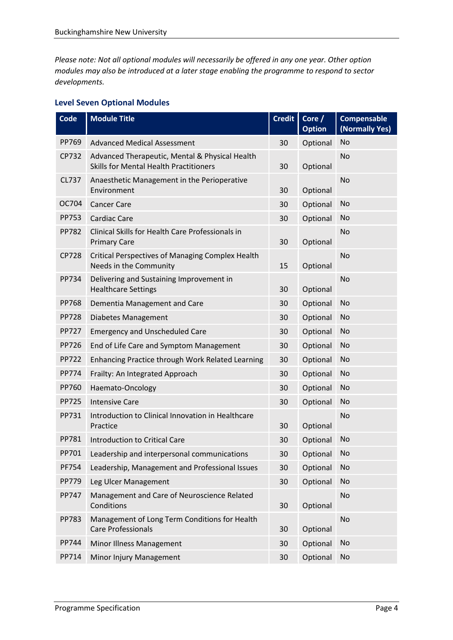*Please note: Not all optional modules will necessarily be offered in any one year. Other option modules may also be introduced at a later stage enabling the programme to respond to sector developments.*

# **Level Seven Optional Modules**

| <b>Code</b>  | <b>Module Title</b>                                                                             | <b>Credit</b> | Core $/$<br><b>Option</b> | <b>Compensable</b><br>(Normally Yes) |
|--------------|-------------------------------------------------------------------------------------------------|---------------|---------------------------|--------------------------------------|
| PP769        | <b>Advanced Medical Assessment</b>                                                              | 30            | Optional                  | <b>No</b>                            |
| CP732        | Advanced Therapeutic, Mental & Physical Health<br><b>Skills for Mental Health Practitioners</b> | 30            | Optional                  | <b>No</b>                            |
| CL737        | Anaesthetic Management in the Perioperative<br>Environment                                      | 30            | Optional                  | <b>No</b>                            |
| OC704        | <b>Cancer Care</b>                                                                              | 30            | Optional                  | No                                   |
| PP753        | <b>Cardiac Care</b>                                                                             | 30            | Optional                  | No                                   |
| <b>PP782</b> | Clinical Skills for Health Care Professionals in<br><b>Primary Care</b>                         | 30            | Optional                  | <b>No</b>                            |
| <b>CP728</b> | <b>Critical Perspectives of Managing Complex Health</b><br>Needs in the Community               | 15            | Optional                  | <b>No</b>                            |
| PP734        | Delivering and Sustaining Improvement in<br><b>Healthcare Settings</b>                          | 30            | Optional                  | <b>No</b>                            |
| <b>PP768</b> | Dementia Management and Care                                                                    | 30            | Optional                  | <b>No</b>                            |
| <b>PP728</b> | Diabetes Management                                                                             | 30            | Optional                  | No                                   |
| <b>PP727</b> | <b>Emergency and Unscheduled Care</b>                                                           | 30            | Optional                  | <b>No</b>                            |
| PP726        | End of Life Care and Symptom Management                                                         | 30            | Optional                  | <b>No</b>                            |
| <b>PP722</b> | Enhancing Practice through Work Related Learning                                                | 30            | Optional                  | No                                   |
| <b>PP774</b> | Frailty: An Integrated Approach                                                                 | 30            | Optional                  | No                                   |
| PP760        | Haemato-Oncology                                                                                | 30            | Optional                  | No                                   |
| <b>PP725</b> | <b>Intensive Care</b>                                                                           | 30            | Optional                  | No                                   |
| PP731        | Introduction to Clinical Innovation in Healthcare<br>Practice                                   | 30            | Optional                  | <b>No</b>                            |
| PP781        | <b>Introduction to Critical Care</b>                                                            | 30            | Optional                  | No                                   |
| PP701        | Leadership and interpersonal communications                                                     | 30            | Optional No               |                                      |
| <b>PF754</b> | Leadership, Management and Professional Issues                                                  | 30            | Optional                  | <b>No</b>                            |
| PP779        | Leg Ulcer Management                                                                            | 30            | Optional                  | No                                   |
| PP747        | Management and Care of Neuroscience Related<br>Conditions                                       | 30            | Optional                  | <b>No</b>                            |
| PP783        | Management of Long Term Conditions for Health<br><b>Care Professionals</b>                      | 30            | Optional                  | <b>No</b>                            |
| PP744        | Minor Illness Management                                                                        | 30            | Optional                  | No                                   |
| PP714        | Minor Injury Management                                                                         | 30            | Optional                  | <b>No</b>                            |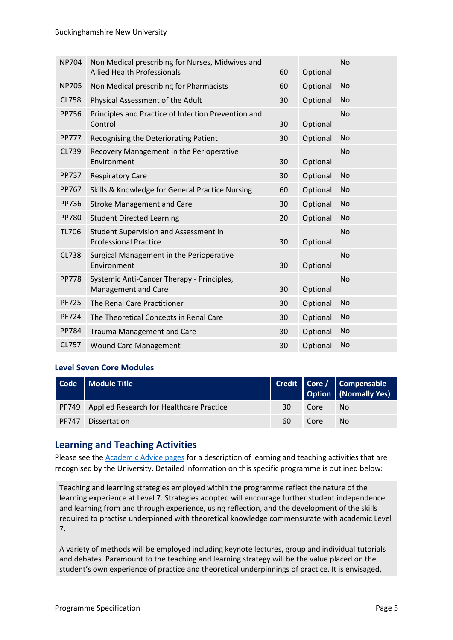| <b>NP704</b> | Non Medical prescribing for Nurses, Midwives and<br><b>Allied Health Professionals</b> | 60 | Optional | <b>No</b> |
|--------------|----------------------------------------------------------------------------------------|----|----------|-----------|
| <b>NP705</b> | Non Medical prescribing for Pharmacists                                                | 60 | Optional | <b>No</b> |
| CL758        | Physical Assessment of the Adult                                                       | 30 | Optional | <b>No</b> |
| <b>PP756</b> | Principles and Practice of Infection Prevention and<br>Control                         | 30 | Optional | <b>No</b> |
| <b>PP777</b> | Recognising the Deteriorating Patient                                                  | 30 | Optional | <b>No</b> |
| CL739        | Recovery Management in the Perioperative<br>Environment                                | 30 | Optional | <b>No</b> |
| <b>PP737</b> | <b>Respiratory Care</b>                                                                | 30 | Optional | <b>No</b> |
| PP767        | Skills & Knowledge for General Practice Nursing                                        | 60 | Optional | <b>No</b> |
| PP736        | <b>Stroke Management and Care</b>                                                      | 30 | Optional | <b>No</b> |
| <b>PP780</b> | <b>Student Directed Learning</b>                                                       | 20 | Optional | <b>No</b> |
| <b>TL706</b> | Student Supervision and Assessment in<br><b>Professional Practice</b>                  | 30 | Optional | <b>No</b> |
| <b>CL738</b> | Surgical Management in the Perioperative<br>Environment                                | 30 | Optional | <b>No</b> |
| <b>PP778</b> | Systemic Anti-Cancer Therapy - Principles,<br>Management and Care                      | 30 | Optional | <b>No</b> |
| <b>PF725</b> | The Renal Care Practitioner                                                            | 30 | Optional | No        |
| <b>PF724</b> | The Theoretical Concepts in Renal Care                                                 | 30 | Optional | No        |
| <b>PP784</b> | <b>Trauma Management and Care</b>                                                      | 30 | Optional | <b>No</b> |
| CL757        | <b>Wound Care Management</b>                                                           | 30 | Optional | <b>No</b> |

#### **Level Seven Core Modules**

| Code   Module Title                            |    |      | Credit Core / Compensable<br>Option (Normally Yes) |
|------------------------------------------------|----|------|----------------------------------------------------|
| PF749 Applied Research for Healthcare Practice | 30 | Core | No.                                                |
| PF747 Dissertation                             | 60 | Core | No.                                                |

# **Learning and Teaching Activities**

Please see the **Academic Advice pages** for a description of learning and teaching activities that are recognised by the University. Detailed information on this specific programme is outlined below:

Teaching and learning strategies employed within the programme reflect the nature of the learning experience at Level 7. Strategies adopted will encourage further student independence and learning from and through experience, using reflection, and the development of the skills required to practise underpinned with theoretical knowledge commensurate with academic Level 7.

A variety of methods will be employed including keynote lectures, group and individual tutorials and debates. Paramount to the teaching and learning strategy will be the value placed on the student's own experience of practice and theoretical underpinnings of practice. It is envisaged,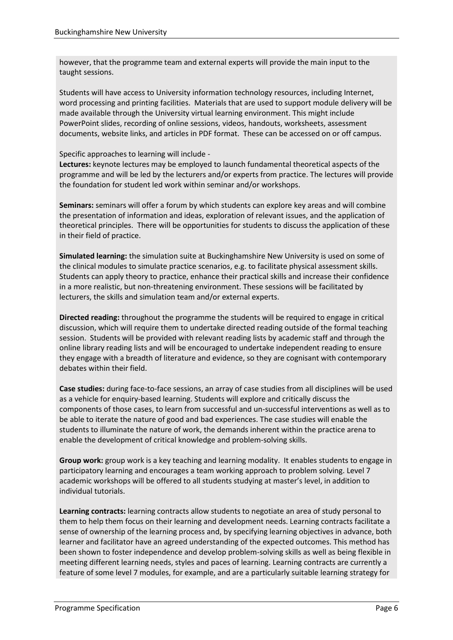however, that the programme team and external experts will provide the main input to the taught sessions.

Students will have access to University information technology resources, including Internet, word processing and printing facilities. Materials that are used to support module delivery will be made available through the University virtual learning environment. This might include PowerPoint slides, recording of online sessions, videos, handouts, worksheets, assessment documents, website links, and articles in PDF format. These can be accessed on or off campus.

#### Specific approaches to learning will include -

**Lectures:** keynote lectures may be employed to launch fundamental theoretical aspects of the programme and will be led by the lecturers and/or experts from practice. The lectures will provide the foundation for student led work within seminar and/or workshops.

**Seminars:** seminars will offer a forum by which students can explore key areas and will combine the presentation of information and ideas, exploration of relevant issues, and the application of theoretical principles. There will be opportunities for students to discuss the application of these in their field of practice.

**Simulated learning:** the simulation suite at Buckinghamshire New University is used on some of the clinical modules to simulate practice scenarios, e.g. to facilitate physical assessment skills. Students can apply theory to practice, enhance their practical skills and increase their confidence in a more realistic, but non-threatening environment. These sessions will be facilitated by lecturers, the skills and simulation team and/or external experts.

**Directed reading:** throughout the programme the students will be required to engage in critical discussion, which will require them to undertake directed reading outside of the formal teaching session. Students will be provided with relevant reading lists by academic staff and through the online library reading lists and will be encouraged to undertake independent reading to ensure they engage with a breadth of literature and evidence, so they are cognisant with contemporary debates within their field.

**Case studies:** during face-to-face sessions, an array of case studies from all disciplines will be used as a vehicle for enquiry-based learning. Students will explore and critically discuss the components of those cases, to learn from successful and un-successful interventions as well as to be able to iterate the nature of good and bad experiences. The case studies will enable the students to illuminate the nature of work, the demands inherent within the practice arena to enable the development of critical knowledge and problem-solving skills.

**Group work:** group work is a key teaching and learning modality. It enables students to engage in participatory learning and encourages a team working approach to problem solving. Level 7 academic workshops will be offered to all students studying at master's level, in addition to individual tutorials.

**Learning contracts:** learning contracts allow students to negotiate an area of study personal to them to help them focus on their learning and development needs. Learning contracts facilitate a sense of ownership of the learning process and, by specifying learning objectives in advance, both learner and facilitator have an agreed understanding of the expected outcomes. This method has been shown to foster independence and develop problem-solving skills as well as being flexible in meeting different learning needs, styles and paces of learning. Learning contracts are currently a feature of some level 7 modules, for example, and are a particularly suitable learning strategy for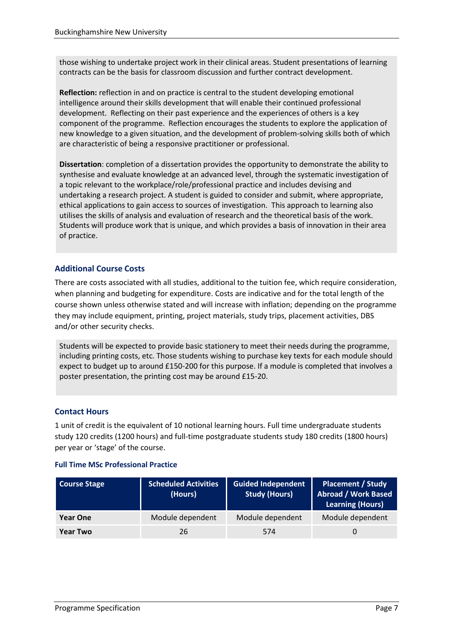those wishing to undertake project work in their clinical areas. Student presentations of learning contracts can be the basis for classroom discussion and further contract development.

**Reflection:** reflection in and on practice is central to the student developing emotional intelligence around their skills development that will enable their continued professional development. Reflecting on their past experience and the experiences of others is a key component of the programme. Reflection encourages the students to explore the application of new knowledge to a given situation, and the development of problem-solving skills both of which are characteristic of being a responsive practitioner or professional.

**Dissertation**: completion of a dissertation provides the opportunity to demonstrate the ability to synthesise and evaluate knowledge at an advanced level, through the systematic investigation of a topic relevant to the workplace/role/professional practice and includes devising and undertaking a research project. A student is guided to consider and submit, where appropriate, ethical applications to gain access to sources of investigation. This approach to learning also utilises the skills of analysis and evaluation of research and the theoretical basis of the work. Students will produce work that is unique, and which provides a basis of innovation in their area of practice.

### **Additional Course Costs**

There are costs associated with all studies, additional to the tuition fee, which require consideration, when planning and budgeting for expenditure. Costs are indicative and for the total length of the course shown unless otherwise stated and will increase with inflation; depending on the programme they may include equipment, printing, project materials, study trips, placement activities, DBS and/or other security checks.

Students will be expected to provide basic stationery to meet their needs during the programme, including printing costs, etc. Those students wishing to purchase key texts for each module should expect to budget up to around £150-200 for this purpose. If a module is completed that involves a poster presentation, the printing cost may be around £15-20.

#### **Contact Hours**

1 unit of credit is the equivalent of 10 notional learning hours. Full time undergraduate students study 120 credits (1200 hours) and full-time postgraduate students study 180 credits (1800 hours) per year or 'stage' of the course.

#### **Full Time MSc Professional Practice**

| <b>Course Stage</b> | <b>Scheduled Activities</b><br>(Hours) | <b>Guided Independent</b><br><b>Study (Hours)</b> | <b>Placement / Study</b><br><b>Abroad / Work Based</b><br><b>Learning (Hours)</b> |
|---------------------|----------------------------------------|---------------------------------------------------|-----------------------------------------------------------------------------------|
| <b>Year One</b>     | Module dependent                       | Module dependent                                  | Module dependent                                                                  |
| <b>Year Two</b>     | 26                                     | 574                                               | $\Omega$                                                                          |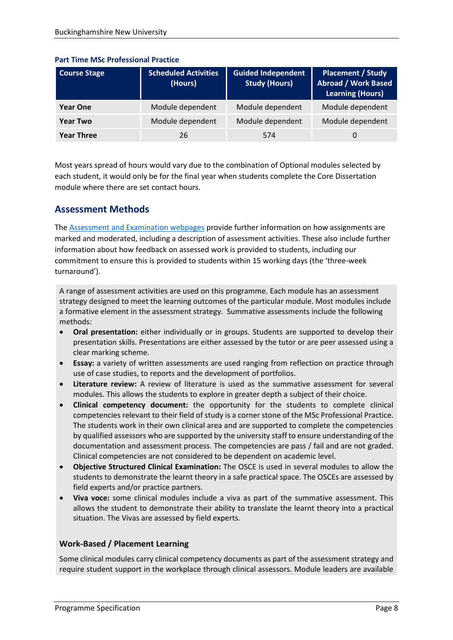| <b>Course Stage</b> | <b>Scheduled Activities</b><br>(Hours) | <b>Guided Independent</b><br><b>Study (Hours)</b> | <b>Placement / Study</b><br><b>Abroad / Work Based</b><br>Learning (Hours) |
|---------------------|----------------------------------------|---------------------------------------------------|----------------------------------------------------------------------------|
| <b>Year One</b>     | Module dependent                       | Module dependent                                  | Module dependent                                                           |
| <b>Year Two</b>     | Module dependent                       | Module dependent                                  | Module dependent                                                           |
| <b>Year Three</b>   | 26                                     | 574                                               | 0                                                                          |

#### **Part Time MSc Professional Practice**

Most years spread of hours would vary due to the combination of Optional modules selected by each student, it would only be for the final year when students complete the Core Dissertation module where there are set contact hours.

# **Assessment Methods**

The [Assessment and Examination webpages](https://bucks.ac.uk/students/academicadvice/assessment-and-examination) provide further information on how assignments are marked and moderated, including a description of assessment activities. These also include further information about how feedback on assessed work is provided to students, including our commitment to ensure this is provided to students within 15 working days (the 'three-week turnaround').

A range of assessment activities are used on this programme. Each module has an assessment strategy designed to meet the learning outcomes of the particular module. Most modules include a formative element in the assessment strategy. Summative assessments include the following methods:

- **Oral presentation:** either individually or in groups. Students are supported to develop their presentation skills. Presentations are either assessed by the tutor or are peer assessed using a clear marking scheme.
- **Essay:** a variety of written assessments are used ranging from reflection on practice through use of case studies, to reports and the development of portfolios.
- **Literature review:** A review of literature is used as the summative assessment for several modules. This allows the students to explore in greater depth a subject of their choice.
- **Clinical competency document:** the opportunity for the students to complete clinical competencies relevant to their field of study is a corner stone of the MSc Professional Practice. The students work in their own clinical area and are supported to complete the competencies by qualified assessors who are supported by the university staff to ensure understanding of the documentation and assessment process. The competencies are pass / fail and are not graded. Clinical competencies are not considered to be dependent on academic level.
- **Objective Structured Clinical Examination:** The OSCE is used in several modules to allow the students to demonstrate the learnt theory in a safe practical space. The OSCEs are assessed by field experts and/or practice partners.
- **Viva voce:** some clinical modules include a viva as part of the summative assessment. This allows the student to demonstrate their ability to translate the learnt theory into a practical situation. The Vivas are assessed by field experts.

### **Work-Based / Placement Learning**

Some clinical modules carry clinical competency documents as part of the assessment strategy and require student support in the workplace through clinical assessors. Module leaders are available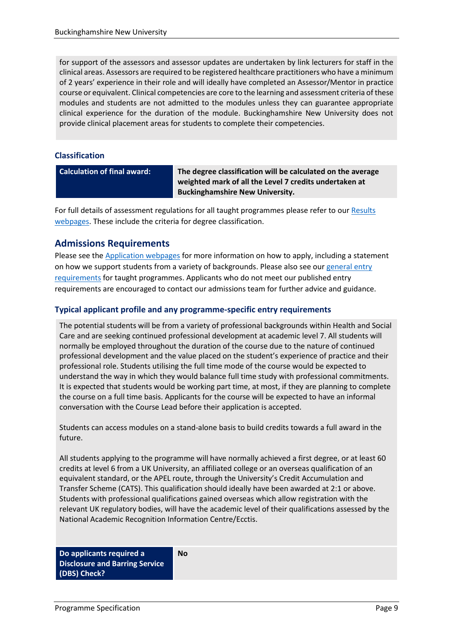for support of the assessors and assessor updates are undertaken by link lecturers for staff in the clinical areas. Assessors are required to be registered healthcare practitioners who have a minimum of 2 years' experience in their role and will ideally have completed an Assessor/Mentor in practice course or equivalent. Clinical competencies are core to the learning and assessment criteria of these modules and students are not admitted to the modules unless they can guarantee appropriate clinical experience for the duration of the module. Buckinghamshire New University does not provide clinical placement areas for students to complete their competencies.

#### **Classification**

**Calculation of final award: The degree classification will be calculated on the average weighted mark of all the Level 7 credits undertaken at Buckinghamshire New University.**

For full details of assessment regulations for all taught programmes please refer to our [Results](https://bucks.ac.uk/students/academicadvice/results)  [webpages.](https://bucks.ac.uk/students/academicadvice/results) These include the criteria for degree classification.

## **Admissions Requirements**

Please see the [Application webpages](https://bucks.ac.uk/applying-to-bucks) for more information on how to apply, including a statement on how we support students from a variety of backgrounds. Please also see our [general entry](https://bucks.ac.uk/applying-to-bucks/general-entry-requirements)  [requirements](https://bucks.ac.uk/applying-to-bucks/general-entry-requirements) for taught programmes. Applicants who do not meet our published entry requirements are encouraged to contact our admissions team for further advice and guidance.

### **Typical applicant profile and any programme-specific entry requirements**

The potential students will be from a variety of professional backgrounds within Health and Social Care and are seeking continued professional development at academic level 7. All students will normally be employed throughout the duration of the course due to the nature of continued professional development and the value placed on the student's experience of practice and their professional role. Students utilising the full time mode of the course would be expected to understand the way in which they would balance full time study with professional commitments. It is expected that students would be working part time, at most, if they are planning to complete the course on a full time basis. Applicants for the course will be expected to have an informal conversation with the Course Lead before their application is accepted.

Students can access modules on a stand-alone basis to build credits towards a full award in the future.

All students applying to the programme will have normally achieved a first degree, or at least 60 credits at level 6 from a UK University, an affiliated college or an overseas qualification of an equivalent standard, or the APEL route, through the University's Credit Accumulation and Transfer Scheme (CATS). This qualification should ideally have been awarded at 2:1 or above. Students with professional qualifications gained overseas which allow registration with the relevant UK regulatory bodies, will have the academic level of their qualifications assessed by the National Academic Recognition Information Centre/Ecctis.

**No**

**Do applicants required a Disclosure and Barring Service (DBS) Check?**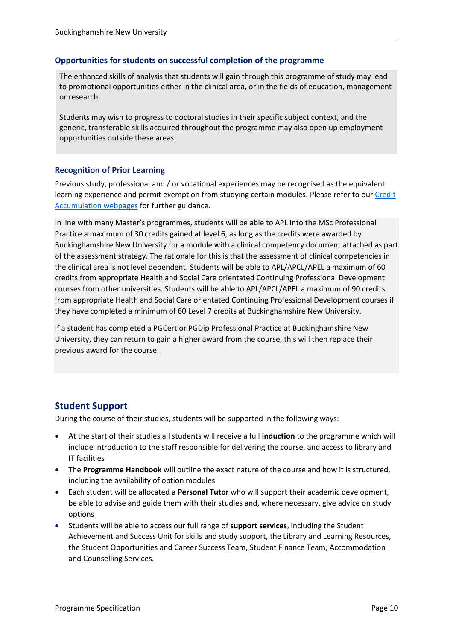#### **Opportunities for students on successful completion of the programme**

The enhanced skills of analysis that students will gain through this programme of study may lead to promotional opportunities either in the clinical area, or in the fields of education, management or research.

Students may wish to progress to doctoral studies in their specific subject context, and the generic, transferable skills acquired throughout the programme may also open up employment opportunities outside these areas.

#### **Recognition of Prior Learning**

Previous study, professional and / or vocational experiences may be recognised as the equivalent learning experience and permit exemption from studying certain modules. Please refer to our Credit [Accumulation webpages](https://bucks.ac.uk/students/academicadvice/managing-your-studies/credit-accumulation) for further guidance.

In line with many Master's programmes, students will be able to APL into the MSc Professional Practice a maximum of 30 credits gained at level 6, as long as the credits were awarded by Buckinghamshire New University for a module with a clinical competency document attached as part of the assessment strategy. The rationale for this is that the assessment of clinical competencies in the clinical area is not level dependent. Students will be able to APL/APCL/APEL a maximum of 60 credits from appropriate Health and Social Care orientated Continuing Professional Development courses from other universities. Students will be able to APL/APCL/APEL a maximum of 90 credits from appropriate Health and Social Care orientated Continuing Professional Development courses if they have completed a minimum of 60 Level 7 credits at Buckinghamshire New University.

If a student has completed a PGCert or PGDip Professional Practice at Buckinghamshire New University, they can return to gain a higher award from the course, this will then replace their previous award for the course.

### **Student Support**

During the course of their studies, students will be supported in the following ways:

- At the start of their studies all students will receive a full **induction** to the programme which will include introduction to the staff responsible for delivering the course, and access to library and IT facilities
- The **Programme Handbook** will outline the exact nature of the course and how it is structured, including the availability of option modules
- Each student will be allocated a **Personal Tutor** who will support their academic development, be able to advise and guide them with their studies and, where necessary, give advice on study options
- Students will be able to access our full range of **support services**, including the Student Achievement and Success Unit for skills and study support, the Library and Learning Resources, the Student Opportunities and Career Success Team, Student Finance Team, Accommodation and Counselling Services.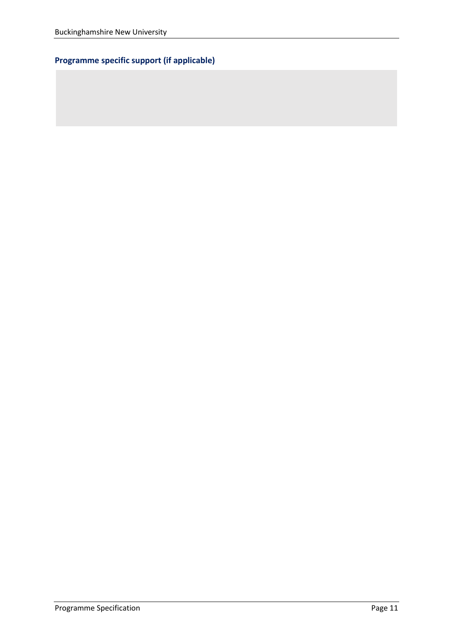# **Programme specific support (if applicable)**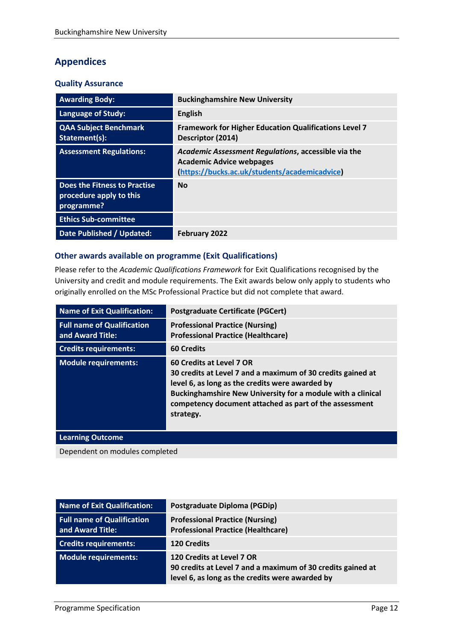# **Appendices**

#### **Quality Assurance**

| <b>Awarding Body:</b>                                                 | <b>Buckinghamshire New University</b>                                                                                                   |
|-----------------------------------------------------------------------|-----------------------------------------------------------------------------------------------------------------------------------------|
| <b>Language of Study:</b>                                             | <b>English</b>                                                                                                                          |
| <b>QAA Subject Benchmark</b><br>Statement(s):                         | <b>Framework for Higher Education Qualifications Level 7</b><br>Descriptor (2014)                                                       |
| <b>Assessment Regulations:</b>                                        | Academic Assessment Regulations, accessible via the<br><b>Academic Advice webpages</b><br>(https://bucks.ac.uk/students/academicadvice) |
| Does the Fitness to Practise<br>procedure apply to this<br>programme? | <b>No</b>                                                                                                                               |
| <b>Ethics Sub-committee</b>                                           |                                                                                                                                         |
| Date Published / Updated:                                             | <b>February 2022</b>                                                                                                                    |

### **Other awards available on programme (Exit Qualifications)**

Please refer to the *Academic Qualifications Framework* for Exit Qualifications recognised by the University and credit and module requirements. The Exit awards below only apply to students who originally enrolled on the MSc Professional Practice but did not complete that award.

| <b>Name of Exit Qualification:</b>                    | <b>Postgraduate Certificate (PGCert)</b>                                                                                                                                                                                                                                         |
|-------------------------------------------------------|----------------------------------------------------------------------------------------------------------------------------------------------------------------------------------------------------------------------------------------------------------------------------------|
| <b>Full name of Qualification</b><br>and Award Title: | <b>Professional Practice (Nursing)</b><br><b>Professional Practice (Healthcare)</b>                                                                                                                                                                                              |
| <b>Credits requirements:</b>                          | <b>60 Credits</b>                                                                                                                                                                                                                                                                |
| <b>Module requirements:</b>                           | 60 Credits at Level 7 OR<br>30 credits at Level 7 and a maximum of 30 credits gained at<br>level 6, as long as the credits were awarded by<br>Buckinghamshire New University for a module with a clinical<br>competency document attached as part of the assessment<br>strategy. |
| <b>Learning Outcome</b>                               |                                                                                                                                                                                                                                                                                  |
| Dependent on modules completed                        |                                                                                                                                                                                                                                                                                  |

| Name of Exit Qualification:                           | Postgraduate Diploma (PGDip)                                                                                                                |
|-------------------------------------------------------|---------------------------------------------------------------------------------------------------------------------------------------------|
| <b>Full name of Qualification</b><br>and Award Title: | <b>Professional Practice (Nursing)</b><br><b>Professional Practice (Healthcare)</b>                                                         |
| <b>Credits requirements:</b>                          | <b>120 Credits</b>                                                                                                                          |
| Module requirements:                                  | 120 Credits at Level 7 OR<br>90 credits at Level 7 and a maximum of 30 credits gained at<br>level 6, as long as the credits were awarded by |